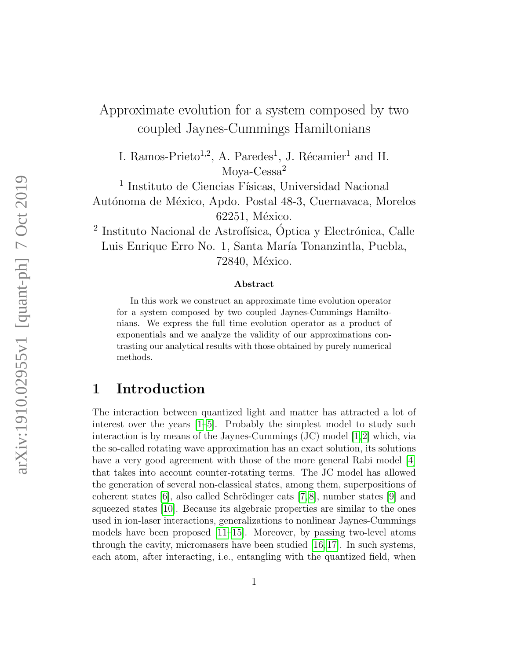# Approximate evolution for a system composed by two coupled Jaynes-Cummings Hamiltonians

I. Ramos-Prieto<sup>1,2</sup>, A. Paredes<sup>1</sup>, J. Récamier<sup>1</sup> and H. Moya-Cessa<sup>2</sup>

<sup>1</sup> Instituto de Ciencias Físicas, Universidad Nacional Autónoma de México, Apdo. Postal 48-3, Cuernavaca, Morelos 62251, México.

<sup>2</sup> Instituto Nacional de Astrofísica, Óptica y Electrónica, Calle Luis Enrique Erro No. 1, Santa María Tonanzintla, Puebla, 72840, México.

#### Abstract

In this work we construct an approximate time evolution operator for a system composed by two coupled Jaynes-Cummings Hamiltonians. We express the full time evolution operator as a product of exponentials and we analyze the validity of our approximations contrasting our analytical results with those obtained by purely numerical methods.

## 1 Introduction

The interaction between quantized light and matter has attracted a lot of interest over the years [\[1–](#page-12-0)[5\]](#page-12-1). Probably the simplest model to study such interaction is by means of the Jaynes-Cummings (JC) model [\[1,](#page-12-0)[2\]](#page-12-2) which, via the so-called rotating wave approximation has an exact solution, its solutions have a very good agreement with those of the more general Rabi model [\[4\]](#page-12-3) that takes into account counter-rotating terms. The JC model has allowed the generation of several non-classical states, among them, superpositions of coherent states  $[6]$ , also called Schrödinger cats  $[7, 8]$  $[7, 8]$ , number states  $[9]$  and squeezed states [\[10\]](#page-13-0). Because its algebraic properties are similar to the ones used in ion-laser interactions, generalizations to nonlinear Jaynes-Cummings models have been proposed  $[11-15]$  $[11-15]$ . Moreover, by passing two-level atoms through the cavity, micromasers have been studied [\[16,](#page-13-3)[17\]](#page-13-4). In such systems, each atom, after interacting, i.e., entangling with the quantized field, when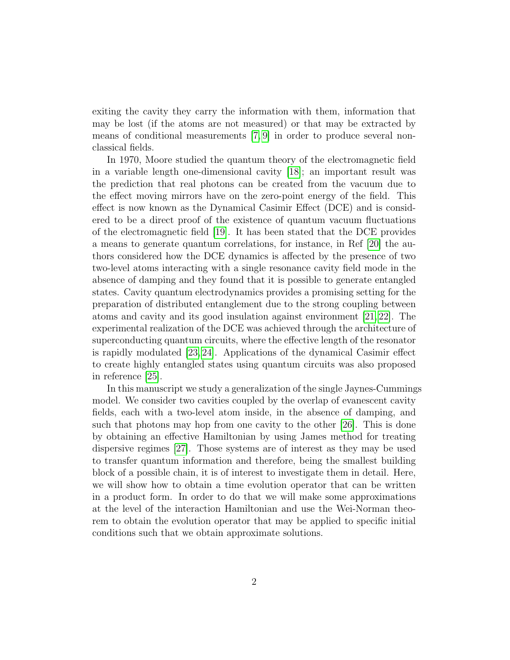exiting the cavity they carry the information with them, information that may be lost (if the atoms are not measured) or that may be extracted by means of conditional measurements [\[7,](#page-12-5) [9\]](#page-12-7) in order to produce several nonclassical fields.

In 1970, Moore studied the quantum theory of the electromagnetic field in a variable length one-dimensional cavity [\[18\]](#page-13-5); an important result was the prediction that real photons can be created from the vacuum due to the effect moving mirrors have on the zero-point energy of the field. This effect is now known as the Dynamical Casimir Effect (DCE) and is considered to be a direct proof of the existence of quantum vacuum fluctuations of the electromagnetic field [\[19\]](#page-13-6). It has been stated that the DCE provides a means to generate quantum correlations, for instance, in Ref [\[20\]](#page-13-7) the authors considered how the DCE dynamics is affected by the presence of two two-level atoms interacting with a single resonance cavity field mode in the absence of damping and they found that it is possible to generate entangled states. Cavity quantum electrodynamics provides a promising setting for the preparation of distributed entanglement due to the strong coupling between atoms and cavity and its good insulation against environment [\[21,](#page-13-8) [22\]](#page-13-9). The experimental realization of the DCE was achieved through the architecture of superconducting quantum circuits, where the effective length of the resonator is rapidly modulated [\[23,](#page-13-10) [24\]](#page-13-11). Applications of the dynamical Casimir effect to create highly entangled states using quantum circuits was also proposed in reference [\[25\]](#page-13-12).

In this manuscript we study a generalization of the single Jaynes-Cummings model. We consider two cavities coupled by the overlap of evanescent cavity fields, each with a two-level atom inside, in the absence of damping, and such that photons may hop from one cavity to the other [\[26\]](#page-13-13). This is done by obtaining an effective Hamiltonian by using James method for treating dispersive regimes [\[27\]](#page-14-0). Those systems are of interest as they may be used to transfer quantum information and therefore, being the smallest building block of a possible chain, it is of interest to investigate them in detail. Here, we will show how to obtain a time evolution operator that can be written in a product form. In order to do that we will make some approximations at the level of the interaction Hamiltonian and use the Wei-Norman theorem to obtain the evolution operator that may be applied to specific initial conditions such that we obtain approximate solutions.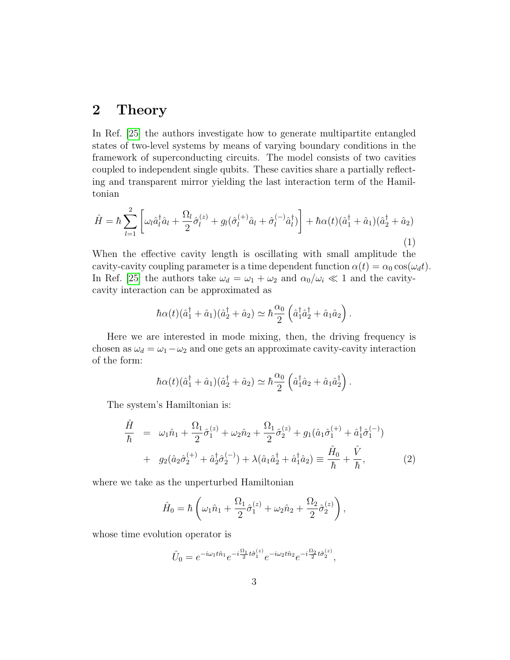#### 2 Theory

In Ref. [\[25\]](#page-13-12) the authors investigate how to generate multipartite entangled states of two-level systems by means of varying boundary conditions in the framework of superconducting circuits. The model consists of two cavities coupled to independent single qubits. These cavities share a partially reflecting and transparent mirror yielding the last interaction term of the Hamiltonian

$$
\hat{H} = \hbar \sum_{l=1}^{2} \left[ \omega_{l} \hat{a}_{l}^{\dagger} \hat{a}_{l} + \frac{\Omega_{l}}{2} \hat{\sigma}_{l}^{(z)} + g_{l} (\hat{\sigma}_{l}^{(+)} \hat{a}_{l} + \hat{\sigma}_{l}^{(-)} \hat{a}_{l}^{\dagger}) \right] + \hbar \alpha(t) (\hat{a}_{1}^{\dagger} + \hat{a}_{1}) (\hat{a}_{2}^{\dagger} + \hat{a}_{2})
$$
\n(1)

When the effective cavity length is oscillating with small amplitude the cavity-cavity coupling parameter is a time dependent function  $\alpha(t) = \alpha_0 \cos(\omega_d t)$ . In Ref. [\[25\]](#page-13-12) the authors take  $\omega_d = \omega_1 + \omega_2$  and  $\alpha_0/\omega_i \ll 1$  and the cavitycavity interaction can be approximated as

$$
\hbar\alpha(t)(\hat{a}_1^{\dagger}+\hat{a}_1)(\hat{a}_2^{\dagger}+\hat{a}_2)\simeq \hbar\frac{\alpha_0}{2}\left(\hat{a}_1^{\dagger}\hat{a}_2^{\dagger}+\hat{a}_1\hat{a}_2\right).
$$

Here we are interested in mode mixing, then, the driving frequency is chosen as  $\omega_d = \omega_1 - \omega_2$  and one gets an approximate cavity-cavity interaction of the form:

$$
\hbar\alpha(t)(\hat{a}_1^{\dagger}+\hat{a}_1)(\hat{a}_2^{\dagger}+\hat{a}_2)\simeq \hbar\frac{\alpha_0}{2}\left(\hat{a}_1^{\dagger}\hat{a}_2+\hat{a}_1\hat{a}_2^{\dagger}\right).
$$

The system's Hamiltonian is:

<span id="page-2-0"></span>
$$
\frac{\hat{H}}{\hbar} = \omega_1 \hat{n}_1 + \frac{\Omega_1}{2} \hat{\sigma}_1^{(z)} + \omega_2 \hat{n}_2 + \frac{\Omega_1}{2} \hat{\sigma}_2^{(z)} + g_1 (\hat{a}_1 \hat{\sigma}_1^{(+)} + \hat{a}_1^{\dagger} \hat{\sigma}_1^{(-)}) \n+ g_2 (\hat{a}_2 \hat{\sigma}_2^{(+)} + \hat{a}_2^{\dagger} \hat{\sigma}_2^{(-)}) + \lambda (\hat{a}_1 \hat{a}_2^{\dagger} + \hat{a}_1^{\dagger} \hat{a}_2) \equiv \frac{\hat{H}_0}{\hbar} + \frac{\hat{V}}{\hbar},
$$
\n(2)

where we take as the unperturbed Hamiltonian

$$
\hat{H}_0 = \hbar \left( \omega_1 \hat{n}_1 + \frac{\Omega_1}{2} \hat{\sigma}_1^{(z)} + \omega_2 \hat{n}_2 + \frac{\Omega_2}{2} \hat{\sigma}_2^{(z)} \right),
$$

whose time evolution operator is

$$
\hat{U}_0 = e^{-i\omega_1 t \hat{n}_1} e^{-i\frac{\Omega_1}{2}t \hat{\sigma}_1^{(z)}} e^{-i\omega_2 t \hat{n}_2} e^{-i\frac{\Omega_2}{2}t \hat{\sigma}_2^{(z)}},
$$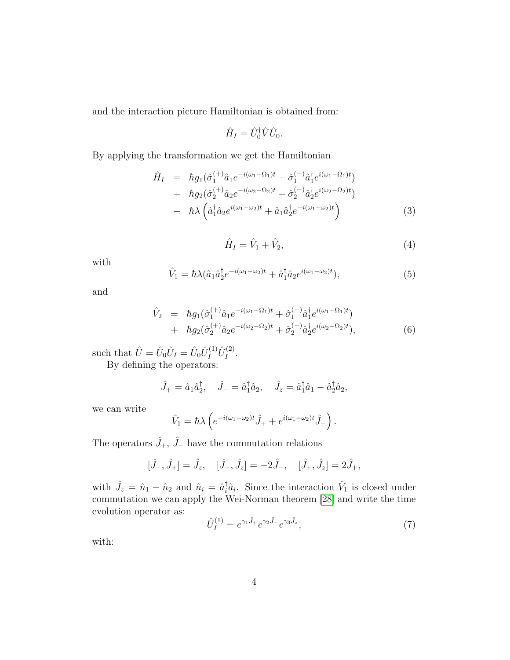and the interaction picture Hamiltonian is obtained from:

$$
\hat{H}_I = \hat{U}_0^{\dagger} \hat{V} \hat{U}_0.
$$

By applying the transformation we get the Hamiltonian

$$
\hat{H}_{I} = \hbar g_{1}(\hat{\sigma}_{1}^{(+)}\hat{a}_{1}e^{-i(\omega_{1}-\Omega_{1})t} + \hat{\sigma}_{1}^{(-)}\hat{a}_{1}^{\dagger}e^{i(\omega_{1}-\Omega_{1})t}) \n+ \hbar g_{2}(\hat{\sigma}_{2}^{(+)}\hat{a}_{2}e^{-i(\omega_{2}-\Omega_{2})t} + \hat{\sigma}_{2}^{(-)}\hat{a}_{2}^{\dagger}e^{i(\omega_{2}-\Omega_{2})t}) \n+ \hbar \lambda \left(\hat{a}_{1}^{\dagger}\hat{a}_{2}e^{i(\omega_{1}-\omega_{2})t} + \hat{a}_{1}\hat{a}_{2}^{\dagger}e^{-i(\omega_{1}-\omega_{2})t}\right)
$$
\n(3)

$$
\hat{H}_I = \hat{V}_1 + \hat{V}_2,\tag{4}
$$

with

$$
\hat{V}_1 = \hbar \lambda (\hat{a}_1 \hat{a}_2^{\dagger} e^{-i(\omega_1 - \omega_2)t} + \hat{a}_1^{\dagger} \hat{a}_2 e^{i(\omega_1 - \omega_2)t}), \tag{5}
$$

and

$$
\hat{V}_2 = \hbar g_1(\hat{\sigma}_1^{(+)}\hat{a}_1 e^{-i(\omega_1 - \Omega_1)t} + \hat{\sigma}_1^{(-)}\hat{a}_1^{\dagger} e^{i(\omega_1 - \Omega_1)t}) \n+ \hbar g_2(\hat{\sigma}_2^{(+)}\hat{a}_2 e^{-i(\omega_2 - \Omega_2)t} + \hat{\sigma}_2^{(-)}\hat{a}_2^{\dagger} e^{i(\omega_2 - \Omega_2)t}),
$$
\n(6)

such that  $\hat{U} = \hat{U}_0 \hat{U}_I = \hat{U}_0 \hat{U}_I^{(1)} \hat{U}_I^{(2)}$  $I^{(2)}$  .

By defining the operators:

$$
\hat{J}_+ = \hat{a}_1 \hat{a}_2^{\dagger}, \quad \hat{J}_- = \hat{a}_1^{\dagger} \hat{a}_2, \quad \hat{J}_z = \hat{a}_1^{\dagger} \hat{a}_1 - \hat{a}_2^{\dagger} \hat{a}_2,
$$

we can write

$$
\hat{V}_1 = \hbar \lambda \left( e^{-i(\omega_1 - \omega_2)t} \hat{J}_+ + e^{i(\omega_1 - \omega_2)t} \hat{J}_- \right).
$$

The operators  $\hat{J}_+$ ,  $\hat{J}_-$  have the commutation relations

$$
[\hat{J}_-,\hat{J}_+]=\hat{J}_z
$$
,  $[\hat{J}_-,\hat{J}_z]=-2\hat{J}_-$ ,  $[\hat{J}_+,\hat{J}_z]=2\hat{J}_+,$ 

with  $\hat{J}_z = \hat{n}_1 - \hat{n}_2$  and  $\hat{n}_i = \hat{a}_i^{\dagger} \hat{a}_i$ . Since the interaction  $\hat{V}_1$  is closed under commutation we can apply the Wei-Norman theorem [\[28\]](#page-14-1) and write the time evolution operator as:

<span id="page-3-0"></span>
$$
\hat{U}_I^{(1)} = e^{\gamma_1 \hat{J}_+} e^{\gamma_2 \hat{J}_-} e^{\gamma_3 \hat{J}_z},\tag{7}
$$

with: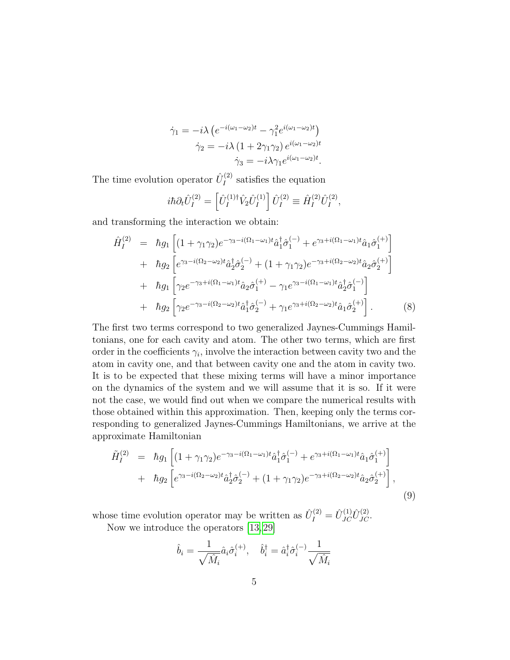$$
\dot{\gamma}_1 = -i\lambda \left( e^{-i(\omega_1 - \omega_2)t} - \gamma_1^2 e^{i(\omega_1 - \omega_2)t} \right)
$$

$$
\dot{\gamma}_2 = -i\lambda \left( 1 + 2\gamma_1\gamma_2 \right) e^{i(\omega_1 - \omega_2)t}
$$

$$
\dot{\gamma}_3 = -i\lambda\gamma_1 e^{i(\omega_1 - \omega_2)t}.
$$

The time evolution operator  $\hat{U}^{(2)}_I$  $I_I^{(2)}$  satisfies the equation

$$
i\hbar \partial_t \hat{U}_I^{(2)} = \left[ \hat{U}_I^{(1)\dagger} \hat{V}_2 \hat{U}_I^{(1)} \right] \hat{U}_I^{(2)} \equiv \hat{H}_I^{(2)} \hat{U}_I^{(2)},
$$

and transforming the interaction we obtain:

<span id="page-4-0"></span>
$$
\hat{H}_{I}^{(2)} = \hbar g_{1} \left[ (1 + \gamma_{1}\gamma_{2})e^{-\gamma_{3}-i(\Omega_{1}-\omega_{1})t} \hat{a}_{1}^{\dagger}\hat{\sigma}_{1}^{(-)} + e^{\gamma_{3}+i(\Omega_{1}-\omega_{1})t} \hat{a}_{1}\hat{\sigma}_{1}^{(+)} \right] \n+ \hbar g_{2} \left[ e^{\gamma_{3}-i(\Omega_{2}-\omega_{2})t} \hat{a}_{2}^{\dagger}\hat{\sigma}_{2}^{(-)} + (1 + \gamma_{1}\gamma_{2})e^{-\gamma_{3}+i(\Omega_{2}-\omega_{2})t} \hat{a}_{2}\hat{\sigma}_{2}^{(+)} \right] \n+ \hbar g_{1} \left[ \gamma_{2}e^{-\gamma_{3}+i(\Omega_{1}-\omega_{1})t} \hat{a}_{2}\hat{\sigma}_{1}^{(+)} - \gamma_{1}e^{\gamma_{3}-i(\Omega_{1}-\omega_{1})t} \hat{a}_{2}^{\dagger}\hat{\sigma}_{1}^{(-)} \right] \n+ \hbar g_{2} \left[ \gamma_{2}e^{-\gamma_{3}-i(\Omega_{2}-\omega_{2})t} \hat{a}_{1}^{\dagger}\hat{\sigma}_{2}^{(-)} + \gamma_{1}e^{\gamma_{3}+i(\Omega_{2}-\omega_{2})t} \hat{a}_{1}\hat{\sigma}_{2}^{(+)} \right].
$$
\n(8)

The first two terms correspond to two generalized Jaynes-Cummings Hamiltonians, one for each cavity and atom. The other two terms, which are first order in the coefficients  $\gamma_i$ , involve the interaction between cavity two and the atom in cavity one, and that between cavity one and the atom in cavity two. It is to be expected that these mixing terms will have a minor importance on the dynamics of the system and we will assume that it is so. If it were not the case, we would find out when we compare the numerical results with those obtained within this approximation. Then, keeping only the terms corresponding to generalized Jaynes-Cummings Hamiltonians, we arrive at the approximate Hamiltonian

$$
\tilde{H}_{I}^{(2)} = \hbar g_{1} \left[ (1 + \gamma_{1}\gamma_{2})e^{-\gamma_{3}-i(\Omega_{1}-\omega_{1})t} \hat{a}_{1}^{\dagger} \hat{\sigma}_{1}^{(-)} + e^{\gamma_{3}+i(\Omega_{1}-\omega_{1})t} \hat{a}_{1} \hat{\sigma}_{1}^{(+)} \right] \n+ \hbar g_{2} \left[ e^{\gamma_{3}-i(\Omega_{2}-\omega_{2})t} \hat{a}_{2}^{\dagger} \hat{\sigma}_{2}^{(-)} + (1 + \gamma_{1}\gamma_{2})e^{-\gamma_{3}+i(\Omega_{2}-\omega_{2})t} \hat{a}_{2} \hat{\sigma}_{2}^{(+)} \right],
$$
\n(9)

whose time evolution operator may be written as  $\hat{U}_I^{(2)} = \hat{U}_{JC}^{(1)} \hat{U}_{JC}^{(2)}$ .

Now we introduce the operators [\[13,](#page-13-14) [29\]](#page-14-2)

$$
\hat{b}_i = \frac{1}{\sqrt{\hat{M}_i}} \hat{a}_i \hat{\sigma}_i^{(+)}, \quad \hat{b}_i^{\dagger} = \hat{a}_i^{\dagger} \hat{\sigma}_i^{(-)} \frac{1}{\sqrt{\hat{M}_i}}
$$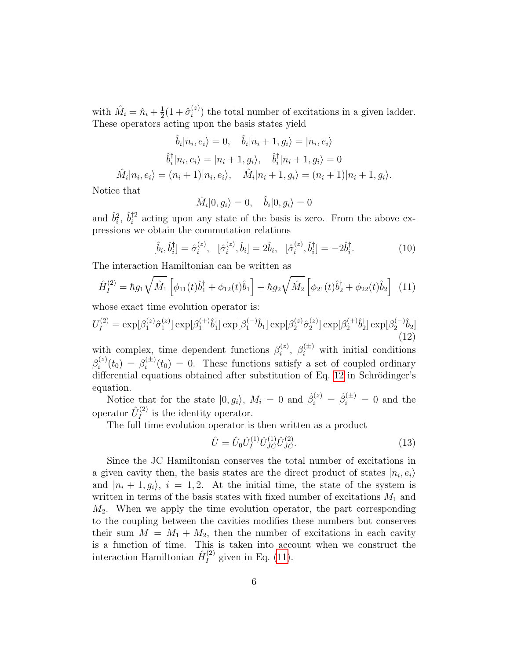with  $\hat{M}_i = \hat{n}_i + \frac{1}{2}$  $\frac{1}{2}(1+\hat{\sigma}_{i}^{(z)})$  $i^{(z)}$ ) the total number of excitations in a given ladder. These operators acting upon the basis states yield

$$
\hat{b}_i | n_i, e_i \rangle = 0, \quad \hat{b}_i | n_i + 1, g_i \rangle = | n_i, e_i \rangle
$$
  

$$
\hat{b}_i^{\dagger} | n_i, e_i \rangle = | n_i + 1, g_i \rangle, \quad \hat{b}_i^{\dagger} | n_i + 1, g_i \rangle = 0
$$
  

$$
\hat{M}_i | n_i, e_i \rangle = (n_i + 1) | n_i, e_i \rangle, \quad \hat{M}_i | n_i + 1, g_i \rangle = (n_i + 1) | n_i + 1, g_i \rangle.
$$

Notice that

$$
\hat{M}_i|0, g_i\rangle = 0, \quad \hat{b}_i|0, g_i\rangle = 0
$$

and  $\hat{b}_i^2$ ,  $\hat{b}_i^{\dagger 2}$  $i^2$  acting upon any state of the basis is zero. From the above expressions we obtain the commutation relations

$$
[\hat{b}_i, \hat{b}_i^{\dagger}] = \hat{\sigma}_i^{(z)}, \quad [\hat{\sigma}_i^{(z)}, \hat{b}_i] = 2\hat{b}_i, \quad [\hat{\sigma}_i^{(z)}, \hat{b}_i^{\dagger}] = -2\hat{b}_i^{\dagger}.
$$
 (10)

The interaction Hamiltonian can be written as

<span id="page-5-1"></span>
$$
\hat{H}_{I}^{(2)} = \hbar g_1 \sqrt{\hat{M}_1} \left[ \phi_{11}(t)\hat{b}_1^{\dagger} + \phi_{12}(t)\hat{b}_1 \right] + \hbar g_2 \sqrt{\hat{M}_2} \left[ \phi_{21}(t)\hat{b}_2^{\dagger} + \phi_{22}(t)\hat{b}_2 \right] \tag{11}
$$

whose exact time evolution operator is:

<span id="page-5-0"></span>
$$
U_I^{(2)} = \exp[\beta_1^{(z)} \hat{\sigma}_1^{(z)}] \exp[\beta_1^{(+)} \hat{b}_1^{\dagger}] \exp[\beta_1^{(-)} \hat{b}_1] \exp[\beta_2^{(z)} \hat{\sigma}_2^{(z)}] \exp[\beta_2^{(+)} \hat{b}_2^{\dagger}] \exp[\beta_2^{(-)} \hat{b}_2]
$$
(12)

with complex, time dependent functions  $\beta_i^{(z)}$  $\mathcal{E}_i^{(z)}$ ,  $\beta_i^{(\pm)}$  with initial conditions  $\beta_i^{(z)}$  $\beta_i^{(z)}(t_0) = \beta_i^{(\pm)}$  $i_t^{(\pm)}(t_0) = 0$ . These functions satisfy a set of coupled ordinary differential equations obtained after substitution of Eq. [12](#page-5-0) in Schrödinger's equation.

Notice that for the state  $|0, g_i\rangle$ ,  $M_i = 0$  and  $\dot{\beta}_i^{(z)} = \dot{\beta}_i^{(\pm)} = 0$  and the operator  $\hat{U}^{(2)}_I$  $I_I^{(2)}$  is the identity operator.

The full time evolution operator is then written as a product

$$
\hat{U} = \hat{U}_0 \hat{U}_I^{(1)} \hat{U}_{JC}^{(1)} \hat{U}_{JC}^{(2)}.
$$
\n(13)

Since the JC Hamiltonian conserves the total number of excitations in a given cavity then, the basis states are the direct product of states  $|n_i, e_i\rangle$ and  $|n_i + 1, q_i\rangle$ ,  $i = 1, 2$ . At the initial time, the state of the system is written in terms of the basis states with fixed number of excitations  $M_1$  and  $M_2$ . When we apply the time evolution operator, the part corresponding to the coupling between the cavities modifies these numbers but conserves their sum  $M = M_1 + M_2$ , then the number of excitations in each cavity is a function of time. This is taken into account when we construct the interaction Hamiltonian  $\hat{H}^{(2)}_I$  $I_I^{(2)}$  given in Eq. [\(11\)](#page-5-1).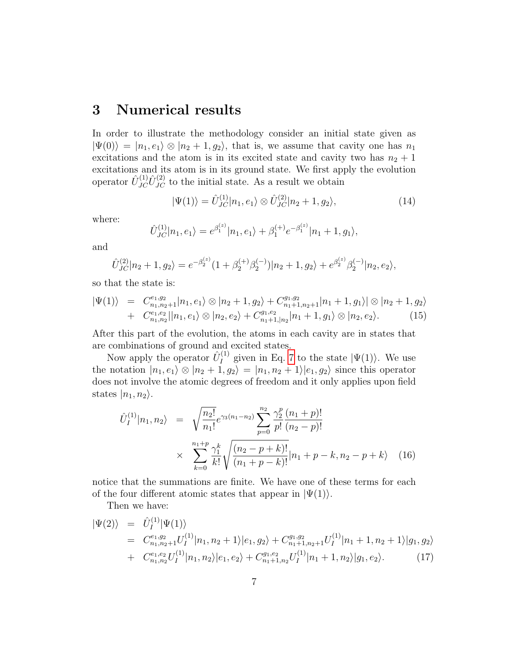## 3 Numerical results

In order to illustrate the methodology consider an initial state given as  $|\Psi(0)\rangle = |n_1, e_1\rangle \otimes |n_2 + 1, g_2\rangle$ , that is, we assume that cavity one has  $n_1$ excitations and the atom is in its excited state and cavity two has  $n_2 + 1$ excitations and its atom is in its ground state. We first apply the evolution operator  $\hat{U}_{JC}^{(1)}\hat{U}_{JC}^{(2)}$  to the initial state. As a result we obtain

$$
|\Psi(1)\rangle = \hat{U}_{JC}^{(1)}|n_1, e_1\rangle \otimes \hat{U}_{JC}^{(2)}|n_2 + 1, g_2\rangle, \tag{14}
$$

where:

$$
\hat{U}_{JC}^{(1)}|n_1, e_1\rangle = e^{\beta_1^{(z)}}|n_1, e_1\rangle + \beta_1^{(+)}e^{-\beta_1^{(z)}}|n_1 + 1, g_1\rangle,
$$

and

$$
\hat{U}_{JC}^{(2)}|n_2+1, g_2\rangle = e^{-\beta_2^{(z)}}(1+\beta_2^{(+)}\beta_2^{(-)})|n_2+1, g_2\rangle + e^{\beta_2^{(z)}}\beta_2^{(-)}|n_2, e_2\rangle,
$$

so that the state is:

$$
|\Psi(1)\rangle = C_{n_1,n_2+1}^{e_1,g_2} |n_1, e_1\rangle \otimes |n_2 + 1, g_2\rangle + C_{n_1+1,n_2+1}^{g_1,g_2} |n_1 + 1, g_1\rangle | \otimes |n_2 + 1, g_2\rangle + C_{n_1,n_2}^{e_1,e_2} |n_1, e_1\rangle \otimes |n_2, e_2\rangle + C_{n_1+1, |n_2}^{g_1, g_2} |n_1 + 1, g_1\rangle \otimes |n_2, e_2\rangle.
$$
 (15)

After this part of the evolution, the atoms in each cavity are in states that are combinations of ground and excited states.

Now apply the operator  $\hat{U}_I^{(1)}$  $I_I^{(1)}$  given in Eq. [7](#page-3-0) to the state  $|\Psi(1)\rangle$ . We use the notation  $|n_1, e_1\rangle \otimes |n_2 + 1, g_2\rangle = |n_1, n_2 + 1\rangle |e_1, g_2\rangle$  since this operator does not involve the atomic degrees of freedom and it only applies upon field states  $|n_1, n_2\rangle$ .

$$
\hat{U}_I^{(1)}|n_1, n_2\rangle = \sqrt{\frac{n_2!}{n_1!}} e^{\gamma_3(n_1 - n_2)} \sum_{p=0}^{n_2} \frac{\gamma_2^p}{p!} \frac{(n_1 + p)!}{(n_2 - p)!} \times \sum_{k=0}^{n_1 + p} \frac{\gamma_1^k}{k!} \sqrt{\frac{(n_2 - p + k)!}{(n_1 + p - k)!}} |n_1 + p - k, n_2 - p + k\rangle
$$
 (16)

notice that the summations are finite. We have one of these terms for each of the four different atomic states that appear in  $|\Psi(1)\rangle$ .

Then we have:

$$
\begin{split} |\Psi(2)\rangle &= \hat{U}_{I}^{(1)} |\Psi(1)\rangle \\ &= C_{n_1, n_2+1}^{e_1, g_2} U_{I}^{(1)} |n_1, n_2+1\rangle |e_1, g_2\rangle + C_{n_1+1, n_2+1}^{g_1, g_2} U_{I}^{(1)} |n_1+1, n_2+1\rangle |g_1, g_2\rangle \\ &+ C_{n_1, n_2}^{e_1, e_2} U_{I}^{(1)} |n_1, n_2\rangle |e_1, e_2\rangle + C_{n_1+1, n_2}^{g_1, e_2} U_{I}^{(1)} |n_1+1, n_2\rangle |g_1, e_2\rangle. \end{split} \tag{17}
$$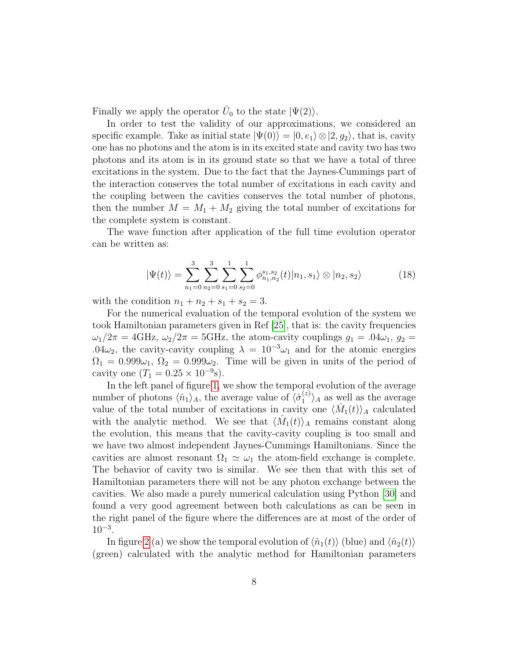Finally we apply the operator  $\hat{U}_0$  to the state  $|\Psi(2)\rangle$ .

In order to test the validity of our approximations, we considered an specific example. Take as initial state  $|\Psi(0)\rangle = |0, e_1\rangle \otimes |2, g_2\rangle$ , that is, cavity one has no photons and the atom is in its excited state and cavity two has two photons and its atom is in its ground state so that we have a total of three excitations in the system. Due to the fact that the Jaynes-Cummings part of the interaction conserves the total number of excitations in each cavity and the coupling between the cavities conserves the total number of photons, then the number  $M = M_1 + M_2$  giving the total number of excitations for the complete system is constant.

The wave function after application of the full time evolution operator can be written as:

$$
|\Psi(t)\rangle = \sum_{n_1=0}^3 \sum_{n_2=0}^3 \sum_{s_1=0}^1 \sum_{s_2=0}^1 \phi_{n_1,n_2}^{s_1,s_2}(t) |n_1,s_1\rangle \otimes |n_2,s_2\rangle \tag{18}
$$

with the condition  $n_1 + n_2 + s_1 + s_2 = 3$ .

For the numerical evaluation of the temporal evolution of the system we took Hamiltonian parameters given in Ref [\[25\]](#page-13-12), that is: the cavity frequencies  $\omega_1/2\pi = 4\text{GHz}, \omega_2/2\pi = 5\text{GHz}, \text{the atom-cavity couplings } g_1 = .04\omega_1, g_2 =$ .04 $\omega_2$ , the cavity-cavity coupling  $\lambda = 10^{-3}\omega_1$  and for the atomic energies  $\Omega_1 = 0.999\omega_1, \Omega_2 = 0.999\omega_2$ . Time will be given in units of the period of cavity one  $(T_1 = 0.25 \times 10^{-9} s)$ .

In the left panel of figure [1,](#page-8-0) we show the temporal evolution of the average number of photons  $\langle \hat{n}_1 \rangle_A$ , the average value of  $\langle \hat{\sigma}_1^{(z)} \rangle$  $\binom{z}{1}$  as well as the average value of the total number of excitations in cavity one  $\langle \hat{M}_1(t) \rangle_A$  calculated with the analytic method. We see that  $\langle \hat{M}_1(t) \rangle_A$  remains constant along the evolution, this means that the cavity-cavity coupling is too small and we have two almost independent Jaynes-Cummings Hamiltonians. Since the cavities are almost resonant  $\Omega_1 \simeq \omega_1$  the atom-field exchange is complete. The behavior of cavity two is similar. We see then that with this set of Hamiltonian parameters there will not be any photon exchange between the cavities. We also made a purely numerical calculation using Python [\[30\]](#page-14-3) and found a very good agreement between both calculations as can be seen in the right panel of the figure where the differences are at most of the order of  $10^{-3}$ .

In figure [2](#page-9-0) (a) we show the temporal evolution of  $\langle \hat{n}_1(t) \rangle$  (blue) and  $\langle \hat{n}_2(t) \rangle$ (green) calculated with the analytic method for Hamiltonian parameters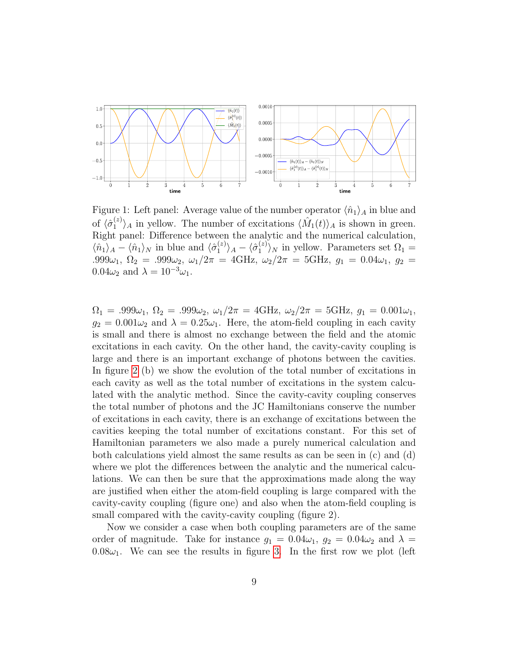

<span id="page-8-0"></span>Figure 1: Left panel: Average value of the number operator  $\langle \hat{n}_1 \rangle_A$  in blue and of  $\langle \hat{\sigma}_1^{(z)} \rangle$  $\langle i \rangle_A$  in yellow. The number of excitations  $\langle \hat{M}_1(t) \rangle_A$  is shown in green. Right panel: Difference between the analytic and the numerical calculation,  $\langle \hat{n}_1 \rangle_A - \langle \hat{n}_1 \rangle_N$  in blue and  $\langle \hat{\sigma}_1^{(z)} \rangle$  $\langle \hat{\sigma}_{1}^{(z)} \rangle_{A} - \langle \hat{\sigma}_{1}^{(z)}$  $\binom{z}{1}$ <sub>N</sub> in yellow. Parameters set  $\Omega_1 =$ .999 $\omega_1$ ,  $\Omega_2$  = .999 $\omega_2$ ,  $\omega_1/2\pi$  = 4GHz,  $\omega_2/2\pi$  = 5GHz,  $g_1$  = 0.04 $\omega_1$ ,  $g_2$  =  $0.04\omega_2$  and  $\lambda = 10^{-3}\omega_1$ .

 $\Omega_1 = .999\omega_1, \ \Omega_2 = .999\omega_2, \ \omega_1/2\pi = 4 \text{GHz}, \ \omega_2/2\pi = 5 \text{GHz}, \ g_1 = 0.001\omega_1,$  $g_2 = 0.001\omega_2$  and  $\lambda = 0.25\omega_1$ . Here, the atom-field coupling in each cavity is small and there is almost no exchange between the field and the atomic excitations in each cavity. On the other hand, the cavity-cavity coupling is large and there is an important exchange of photons between the cavities. In figure [2](#page-9-0) (b) we show the evolution of the total number of excitations in each cavity as well as the total number of excitations in the system calculated with the analytic method. Since the cavity-cavity coupling conserves the total number of photons and the JC Hamiltonians conserve the number of excitations in each cavity, there is an exchange of excitations between the cavities keeping the total number of excitations constant. For this set of Hamiltonian parameters we also made a purely numerical calculation and both calculations yield almost the same results as can be seen in (c) and (d) where we plot the differences between the analytic and the numerical calculations. We can then be sure that the approximations made along the way are justified when either the atom-field coupling is large compared with the cavity-cavity coupling (figure one) and also when the atom-field coupling is small compared with the cavity-cavity coupling (figure 2).

Now we consider a case when both coupling parameters are of the same order of magnitude. Take for instance  $g_1 = 0.04\omega_1$ ,  $g_2 = 0.04\omega_2$  and  $\lambda =$  $0.08\omega_1$ . We can see the results in figure [3.](#page-10-0) In the first row we plot (left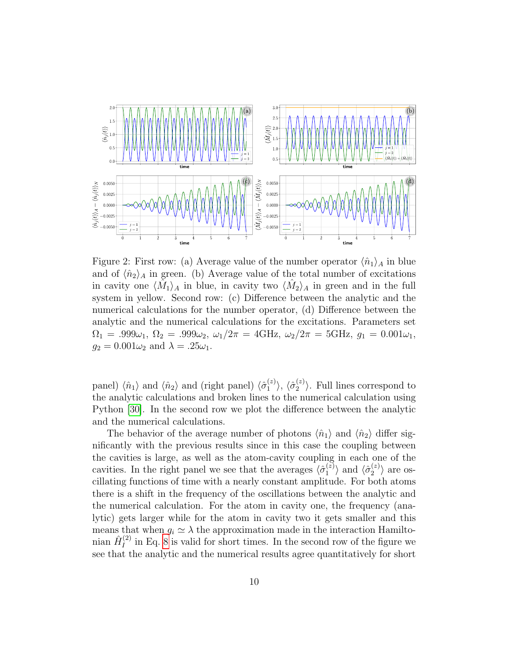

<span id="page-9-0"></span>Figure 2: First row: (a) Average value of the number operator  $\langle \hat{n}_1 \rangle_A$  in blue and of  $\langle \hat{n}_2 \rangle_A$  in green. (b) Average value of the total number of excitations in cavity one  $\langle \tilde{M}_1 \rangle_A$  in blue, in cavity two  $\langle \hat{M}_2 \rangle_A$  in green and in the full system in yellow. Second row: (c) Difference between the analytic and the numerical calculations for the number operator, (d) Difference between the analytic and the numerical calculations for the excitations. Parameters set  $\Omega_1 = .999\omega_1, \ \Omega_2 = .999\omega_2, \ \omega_1/2\pi = 4 \text{GHz}, \ \omega_2/2\pi = 5 \text{GHz}, \ g_1 = 0.001\omega_1,$  $g_2 = 0.001\omega_2$  and  $\lambda = .25\omega_1$ .

panel)  $\langle \hat{n}_1 \rangle$  and  $\langle \hat{n}_2 \rangle$  and (right panel)  $\langle \hat{\sigma}_1^{(z)} \rangle$  $\langle \hat{\sigma}_{2}^{(z)}\rangle,\,\langle \hat{\sigma}_{2}^{(z)}$  $\binom{z}{2}$ . Full lines correspond to the analytic calculations and broken lines to the numerical calculation using Python [\[30\]](#page-14-3). In the second row we plot the difference between the analytic and the numerical calculations.

The behavior of the average number of photons  $\langle \hat{n}_1 \rangle$  and  $\langle \hat{n}_2 \rangle$  differ significantly with the previous results since in this case the coupling between the cavities is large, as well as the atom-cavity coupling in each one of the cavities. In the right panel we see that the averages  $\langle \hat{\sigma}_1^{(z)} \rangle$  $\binom{z}{1}$  and  $\langle \hat{\sigma}_2^{(z)} \rangle$  $\binom{z}{2}$  are oscillating functions of time with a nearly constant amplitude. For both atoms there is a shift in the frequency of the oscillations between the analytic and the numerical calculation. For the atom in cavity one, the frequency (analytic) gets larger while for the atom in cavity two it gets smaller and this means that when  $g_i \simeq \lambda$  the approximation made in the interaction Hamiltonian  $\hat{H}^{(2)}_I$  $I_I^{(2)}$  in Eq. [8](#page-4-0) is valid for short times. In the second row of the figure we see that the analytic and the numerical results agree quantitatively for short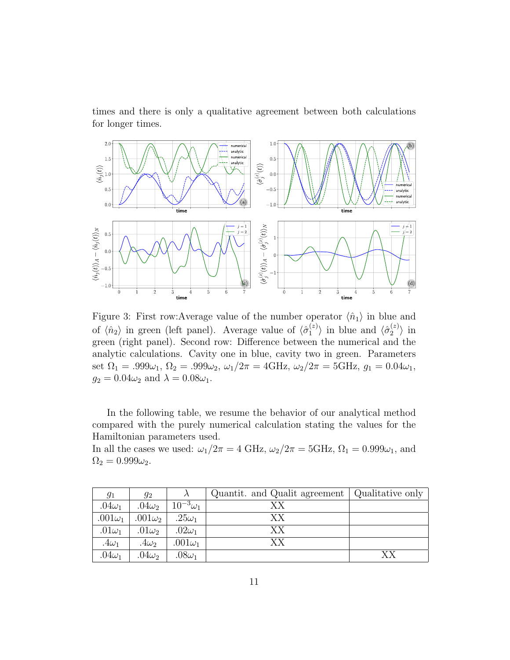times and there is only a qualitative agreement between both calculations for longer times.



<span id="page-10-0"></span>Figure 3: First row:Average value of the number operator  $\langle \hat{n}_1 \rangle$  in blue and of  $\langle \hat{n}_2 \rangle$  in green (left panel). Average value of  $\langle \hat{\sigma}_1^{(z)} \rangle$  $\langle i \atop 1 \rangle$  in blue and  $\langle \hat{\sigma}_2^{(z)} \rangle$  $\binom{z}{2}$  in green (right panel). Second row: Difference between the numerical and the analytic calculations. Cavity one in blue, cavity two in green. Parameters set  $\Omega_1 = .999\omega_1$ ,  $\Omega_2 = .999\omega_2$ ,  $\omega_1/2\pi = 4\text{GHz}$ ,  $\omega_2/2\pi = 5\text{GHz}$ ,  $g_1 = 0.04\omega_1$ ,  $g_2 = 0.04\omega_2$  and  $\lambda = 0.08\omega_1$ .

In the following table, we resume the behavior of our analytical method compared with the purely numerical calculation stating the values for the Hamiltonian parameters used.

In all the cases we used:  $\omega_1/2\pi = 4 \text{ GHz}, \omega_2/2\pi = 5 \text{ GHz}, \Omega_1 = 0.999\omega_1$ , and  $\Omega_2 = 0.999\omega_2.$ 

| $g_1$          | $g_2$          |                   | Quantit. and Qualit agreement   Qualitative only |    |
|----------------|----------------|-------------------|--------------------------------------------------|----|
| .04 $\omega_1$ | $.04\omega_2$  | $10^{-3}\omega_1$ | ХX                                               |    |
| $.001\omega_1$ | $.001\omega_2$ | $.25\omega_1$     | XX                                               |    |
| .01 $\omega_1$ | .01 $\omega_2$ | .02 $\omega_1$    | XX                                               |    |
| .4 $\omega_1$  | .4 $\omega_2$  | .001 $\omega_1$   | XХ                                               |    |
| .04 $\omega_1$ | .04 $\omega_2$ | .08 $\omega_1$    |                                                  | XХ |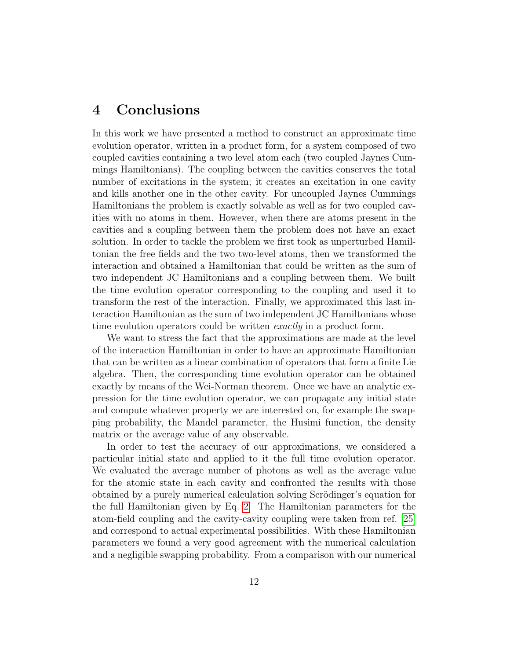#### 4 Conclusions

In this work we have presented a method to construct an approximate time evolution operator, written in a product form, for a system composed of two coupled cavities containing a two level atom each (two coupled Jaynes Cummings Hamiltonians). The coupling between the cavities conserves the total number of excitations in the system; it creates an excitation in one cavity and kills another one in the other cavity. For uncoupled Jaynes Cummings Hamiltonians the problem is exactly solvable as well as for two coupled cavities with no atoms in them. However, when there are atoms present in the cavities and a coupling between them the problem does not have an exact solution. In order to tackle the problem we first took as unperturbed Hamiltonian the free fields and the two two-level atoms, then we transformed the interaction and obtained a Hamiltonian that could be written as the sum of two independent JC Hamiltonians and a coupling between them. We built the time evolution operator corresponding to the coupling and used it to transform the rest of the interaction. Finally, we approximated this last interaction Hamiltonian as the sum of two independent JC Hamiltonians whose time evolution operators could be written *exactly* in a product form.

We want to stress the fact that the approximations are made at the level of the interaction Hamiltonian in order to have an approximate Hamiltonian that can be written as a linear combination of operators that form a finite Lie algebra. Then, the corresponding time evolution operator can be obtained exactly by means of the Wei-Norman theorem. Once we have an analytic expression for the time evolution operator, we can propagate any initial state and compute whatever property we are interested on, for example the swapping probability, the Mandel parameter, the Husimi function, the density matrix or the average value of any observable.

In order to test the accuracy of our approximations, we considered a particular initial state and applied to it the full time evolution operator. We evaluated the average number of photons as well as the average value for the atomic state in each cavity and confronted the results with those obtained by a purely numerical calculation solving Scrödinger's equation for the full Hamiltonian given by Eq. [2.](#page-2-0) The Hamiltonian parameters for the atom-field coupling and the cavity-cavity coupling were taken from ref. [\[25\]](#page-13-12) and correspond to actual experimental possibilities. With these Hamiltonian parameters we found a very good agreement with the numerical calculation and a negligible swapping probability. From a comparison with our numerical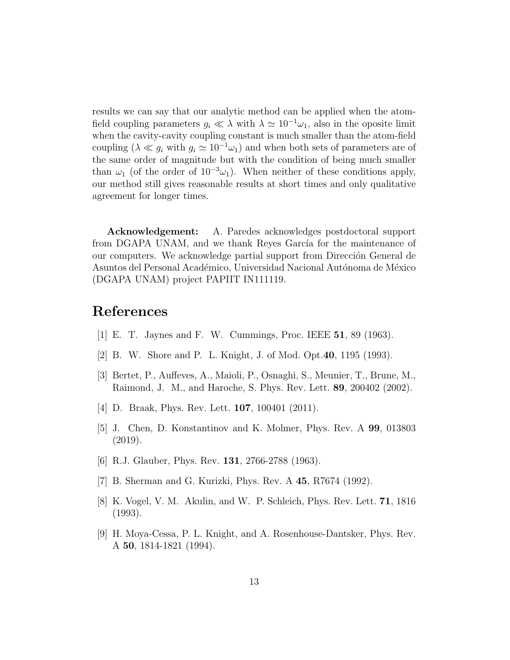results we can say that our analytic method can be applied when the atomfield coupling parameters  $q_i \ll \lambda$  with  $\lambda \simeq 10^{-1}\omega_1$ , also in the oposite limit when the cavity-cavity coupling constant is much smaller than the atom-field coupling ( $\lambda \ll g_i$  with  $g_i \simeq 10^{-1} \omega_1$ ) and when both sets of parameters are of the same order of magnitude but with the condition of being much smaller than  $\omega_1$  (of the order of  $10^{-3}\omega_1$ ). When neither of these conditions apply, our method still gives reasonable results at short times and only qualitative agreement for longer times.

Acknowledgement: A. Paredes acknowledges postdoctoral support from DGAPA UNAM, and we thank Reyes García for the maintenance of our computers. We acknowledge partial support from Dirección General de Asuntos del Personal Académico, Universidad Nacional Autónoma de México (DGAPA UNAM) project PAPIIT IN111119.

#### References

- <span id="page-12-0"></span>[1] E. T. Jaynes and F. W. Cummings, Proc. IEEE 51, 89 (1963).
- <span id="page-12-2"></span>[2] B. W. Shore and P. L. Knight, J. of Mod. Opt.40, 1195 (1993).
- [3] Bertet, P., Auffeves, A., Maioli, P., Osnaghi, S., Meunier, T., Brune, M., Raimond, J. M., and Haroche, S. Phys. Rev. Lett. 89, 200402 (2002).
- <span id="page-12-3"></span>[4] D. Braak, Phys. Rev. Lett. 107, 100401 (2011).
- <span id="page-12-1"></span>[5] J. Chen, D. Konstantinov and K. Molmer, Phys. Rev. A 99, 013803 (2019).
- <span id="page-12-4"></span>[6] R.J. Glauber, Phys. Rev. 131, 2766-2788 (1963).
- <span id="page-12-5"></span>[7] B. Sherman and G. Kurizki, Phys. Rev. A 45, R7674 (1992).
- <span id="page-12-6"></span>[8] K. Vogel, V. M. Akulin, and W. P. Schleich, Phys. Rev. Lett. 71, 1816 (1993).
- <span id="page-12-7"></span>[9] H. Moya-Cessa, P. L. Knight, and A. Rosenhouse-Dantsker, Phys. Rev. A 50, 1814-1821 (1994).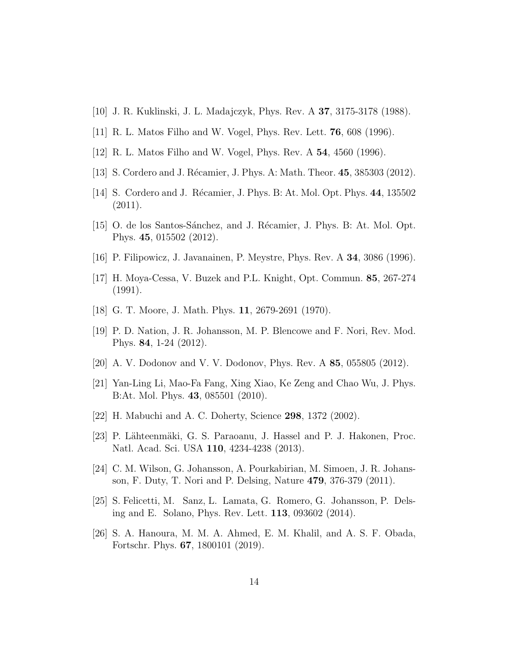- <span id="page-13-0"></span>[10] J. R. Kuklinski, J. L. Madajczyk, Phys. Rev. A 37, 3175-3178 (1988).
- <span id="page-13-1"></span>[11] R. L. Matos Filho and W. Vogel, Phys. Rev. Lett. 76, 608 (1996).
- [12] R. L. Matos Filho and W. Vogel, Phys. Rev. A 54, 4560 (1996).
- <span id="page-13-14"></span>[13] S. Cordero and J. Récamier, J. Phys. A: Math. Theor. 45, 385303 (2012).
- [14] S. Cordero and J. Récamier, J. Phys. B: At. Mol. Opt. Phys. 44, 135502  $(2011).$
- <span id="page-13-2"></span>[15] O. de los Santos-Sánchez, and J. Récamier, J. Phys. B: At. Mol. Opt. Phys. 45, 015502 (2012).
- <span id="page-13-3"></span>[16] P. Filipowicz, J. Javanainen, P. Meystre, Phys. Rev. A 34, 3086 (1996).
- <span id="page-13-4"></span>[17] H. Moya-Cessa, V. Buzek and P.L. Knight, Opt. Commun. 85, 267-274 (1991).
- <span id="page-13-5"></span>[18] G. T. Moore, J. Math. Phys. 11, 2679-2691 (1970).
- <span id="page-13-6"></span>[19] P. D. Nation, J. R. Johansson, M. P. Blencowe and F. Nori, Rev. Mod. Phys. 84, 1-24 (2012).
- <span id="page-13-7"></span>[20] A. V. Dodonov and V. V. Dodonov, Phys. Rev. A 85, 055805 (2012).
- <span id="page-13-8"></span>[21] Yan-Ling Li, Mao-Fa Fang, Xing Xiao, Ke Zeng and Chao Wu, J. Phys. B:At. Mol. Phys. 43, 085501 (2010).
- <span id="page-13-9"></span>[22] H. Mabuchi and A. C. Doherty, Science 298, 1372 (2002).
- <span id="page-13-10"></span>[23] P. Lähteenmäki, G. S. Paraoanu, J. Hassel and P. J. Hakonen, Proc. Natl. Acad. Sci. USA 110, 4234-4238 (2013).
- <span id="page-13-11"></span>[24] C. M. Wilson, G. Johansson, A. Pourkabirian, M. Simoen, J. R. Johansson, F. Duty, T. Nori and P. Delsing, Nature 479, 376-379 (2011).
- <span id="page-13-12"></span>[25] S. Felicetti, M. Sanz, L. Lamata, G. Romero, G. Johansson, P. Delsing and E. Solano, Phys. Rev. Lett. 113, 093602 (2014).
- <span id="page-13-13"></span>[26] S. A. Hanoura, M. M. A. Ahmed, E. M. Khalil, and A. S. F. Obada, Fortschr. Phys. 67, 1800101 (2019).